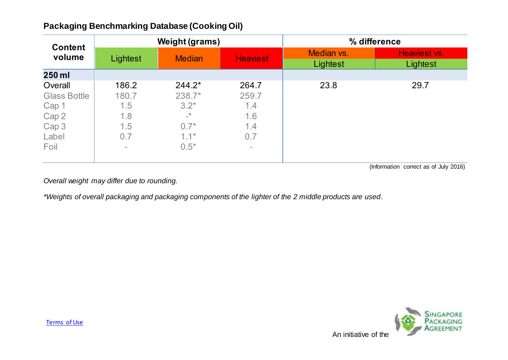## **Packaging Benchmarking Database (Cooking Oil)**

| <b>Content</b><br>volume | <b>Weight (grams)</b> |               |                 | % difference           |                          |
|--------------------------|-----------------------|---------------|-----------------|------------------------|--------------------------|
|                          | Lightest              | <b>Median</b> | <b>Heaviest</b> | Median vs.<br>Lightest | Heaviest vs.<br>Lightest |
| 250 ml                   |                       |               |                 |                        |                          |
| Overall                  | 186.2                 | $244.2*$      | 264.7           | 23.8                   | 29.7                     |
| <b>Glass Bottle</b>      | 180.7                 | 238.7*        | 259.7           |                        |                          |
| Cap 1                    | 1.5                   | $3.2*$        | 1.4             |                        |                          |
| Cap 2                    | 1.8                   | $\mathbf{r}$  | 1.6             |                        |                          |
| Cap 3                    | 1.5                   | $0.7*$        | 1.4             |                        |                          |
| Label                    | 0.7                   | $1.1*$        | 0.7             |                        |                          |
| Foil                     | $\equiv$              | $0.5*$        | $\sim$          |                        |                          |

(Information correct as of July 2016)

*Overall weight may differ due to rounding.*

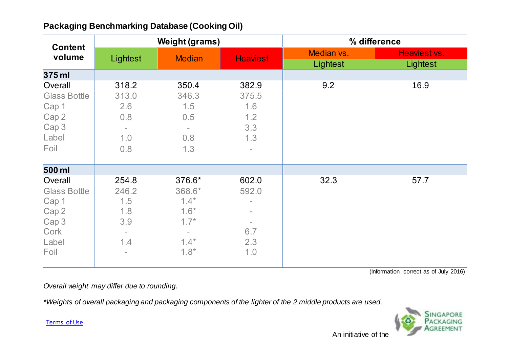|  | <b>Packaging Benchmarking Database (Cooking Oil)</b> |  |  |
|--|------------------------------------------------------|--|--|
|--|------------------------------------------------------|--|--|

| <b>Content</b><br>volume                                                           |                                                                                                    | <b>Weight (grams)</b>                                                                          |                                                                             | % difference |              |
|------------------------------------------------------------------------------------|----------------------------------------------------------------------------------------------------|------------------------------------------------------------------------------------------------|-----------------------------------------------------------------------------|--------------|--------------|
|                                                                                    | Lightest                                                                                           | <b>Median</b>                                                                                  | <b>Heaviest</b>                                                             | Median vs.   | Heaviest vs. |
| 375 ml                                                                             |                                                                                                    |                                                                                                |                                                                             | Lightest     | Lightest     |
| Overall<br><b>Glass Bottle</b><br>Cap 1<br>Cap 2<br>Cap 3<br>Label<br>Foil         | 318.2<br>313.0<br>2.6<br>0.8<br>$\overline{\phantom{a}}$<br>1.0<br>0.8                             | 350.4<br>346.3<br>1.5<br>0.5<br>$\overline{\phantom{a}}$<br>0.8<br>1.3                         | 382.9<br>375.5<br>1.6<br>1.2<br>3.3<br>1.3<br>$\overline{\phantom{a}}$      | 9.2          | 16.9         |
| 500 ml                                                                             |                                                                                                    |                                                                                                |                                                                             |              |              |
| Overall<br><b>Glass Bottle</b><br>Cap 1<br>Cap 2<br>Cap 3<br>Cork<br>Label<br>Foil | 254.8<br>246.2<br>1.5<br>1.8<br>3.9<br>$\overline{\phantom{0}}$<br>1.4<br>$\overline{\phantom{a}}$ | 376.6*<br>368.6*<br>$1.4*$<br>$1.6*$<br>$1.7*$<br>$\overline{\phantom{a}}$<br>$1.4*$<br>$1.8*$ | 602.0<br>592.0<br>$\overline{\phantom{a}}$<br>$\equiv$<br>6.7<br>2.3<br>1.0 | 32.3         | 57.7         |

## *Overall weight may differ due to rounding.*

*\*Weights of overall packaging and packaging components of the lighter of the 2 middle products are used.*

[Terms of Use](http://www.nea.gov.sg/terms-of-use/)

An initiative of the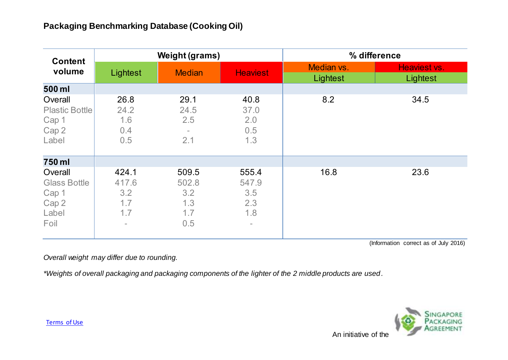| <b>Content</b>                                                    |                                                                 | <b>Weight (grams)</b>                      |                                                 | % difference           |                          |
|-------------------------------------------------------------------|-----------------------------------------------------------------|--------------------------------------------|-------------------------------------------------|------------------------|--------------------------|
| volume                                                            | Lightest                                                        | <b>Median</b>                              | <b>Heaviest</b>                                 | Median vs.<br>Lightest | Heaviest vs.<br>Lightest |
| 500 ml                                                            |                                                                 |                                            |                                                 |                        |                          |
| Overall<br><b>Plastic Bottle</b><br>Cap 1<br>Cap 2<br>Label       | 26.8<br>24.2<br>1.6<br>0.4<br>0.5                               | 29.1<br>24.5<br>2.5<br>$\equiv$<br>2.1     | 40.8<br>37.0<br>2.0<br>0.5<br>1.3               | 8.2                    | 34.5                     |
| 750 ml                                                            |                                                                 |                                            |                                                 |                        |                          |
| Overall<br><b>Glass Bottle</b><br>Cap 1<br>Cap 2<br>Label<br>Foil | 424.1<br>417.6<br>3.2<br>1.7<br>1.7<br>$\overline{\phantom{a}}$ | 509.5<br>502.8<br>3.2<br>1.3<br>1.7<br>0.5 | 555.4<br>547.9<br>3.5<br>2.3<br>1.8<br>$\equiv$ | 16.8                   | 23.6                     |

*Overall weight may differ due to rounding.*

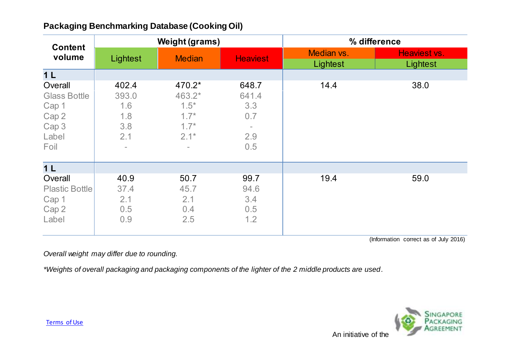|  | <b>Packaging Benchmarking Database (Cooking Oil)</b> |  |  |
|--|------------------------------------------------------|--|--|
|--|------------------------------------------------------|--|--|

| <b>Content</b><br>volume | <b>Weight (grams)</b> |               |                 | % difference |              |
|--------------------------|-----------------------|---------------|-----------------|--------------|--------------|
|                          | Lightest              |               |                 | Median vs.   | Heaviest vs. |
|                          |                       | <b>Median</b> | <b>Heaviest</b> | Lightest     | Lightest     |
| 1 <sub>L</sub>           |                       |               |                 |              |              |
| Overall                  | 402.4                 | 470.2*        | 648.7           | 14.4         | 38.0         |
| <b>Glass Bottle</b>      | 393.0                 | 463.2*        | 641.4           |              |              |
| Cap 1                    | 1.6                   | $1.5*$        | 3.3             |              |              |
| Cap 2                    | 1.8                   | $1.7*$        | 0.7             |              |              |
| Cap 3                    | 3.8                   | $1.7*$        | $\equiv$        |              |              |
| Label                    | 2.1                   | $2.1*$        | 2.9             |              |              |
| Foil                     | $\equiv$              |               | 0.5             |              |              |
| 1 <sub>L</sub>           |                       |               |                 |              |              |
| Overall                  | 40.9                  | 50.7          | 99.7            | 19.4         | 59.0         |
| <b>Plastic Bottle</b>    | 37.4                  | 45.7          | 94.6            |              |              |
| Cap 1                    | 2.1                   | 2.1           | 3.4             |              |              |
| Cap 2                    | 0.5                   | 0.4           | 0.5             |              |              |
| Label                    | 0.9                   | 2.5           | 1.2             |              |              |
|                          |                       |               |                 |              |              |

*Overall weight may differ due to rounding.*

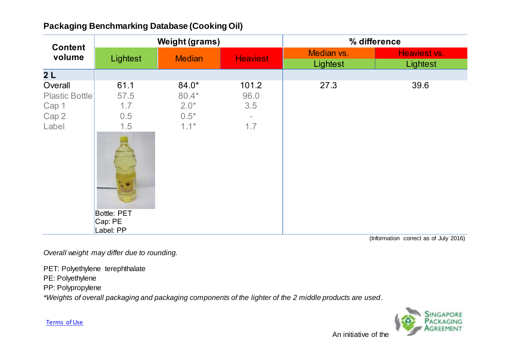|  | <b>Packaging Benchmarking Database (Cooking Oil)</b> |  |  |
|--|------------------------------------------------------|--|--|
|--|------------------------------------------------------|--|--|

| <b>Content</b><br>volume | <b>Weight (grams)</b> |               |                 | % difference |              |
|--------------------------|-----------------------|---------------|-----------------|--------------|--------------|
|                          | Lightest              | <b>Median</b> | <b>Heaviest</b> | Median vs.   | Heaviest vs. |
|                          |                       |               |                 | Lightest     | Lightest     |
| 2L                       |                       |               |                 |              |              |
| Overall                  | 61.1                  | 84.0*         | 101.2           | 27.3         | 39.6         |
| <b>Plastic Bottle</b>    | 57.5                  | $80.4*$       | 96.0            |              |              |
| Cap 1                    | 1.7                   | $2.0*$        | 3.5             |              |              |
| Cap 2                    | 0.5                   | $0.5*$        |                 |              |              |
| Label                    | 1.5                   | $1.1*$        | 1.7             |              |              |
|                          |                       |               |                 |              |              |
|                          | <b>Bottle: PET</b>    |               |                 |              |              |
|                          | Cap: PE<br>Label: PP  |               |                 |              |              |

*Overall weight may differ due to rounding.*

PET: Polyethylene terephthalate

PE: Polyethylene

PP: Polypropylene